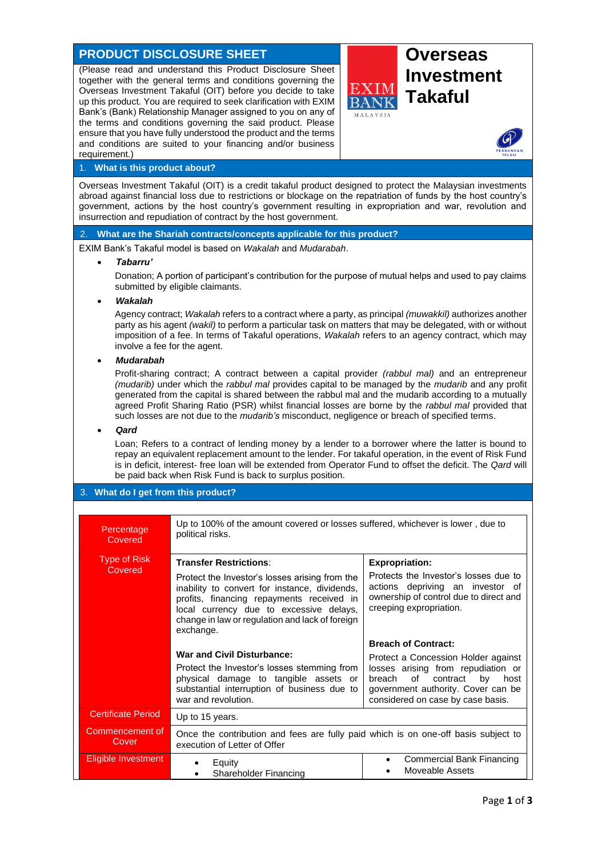# **PRODUCT DISCLOSURE SHEET AND RESPONSE ASSESS**

(Please read and understand this Product Disclosure Sheet together with the general terms and conditions governing the Overseas Investment Takaful (OIT) before you decide to take up this product. You are required to seek clarification with EXIM Bank's (Bank) Relationship Manager assigned to you on any of the terms and conditions governing the said product. Please ensure that you have fully understood the product and the terms and conditions are suited to your financing and/or business requirement.)



# **Investment Takaful**



# 1. **What is this product about?**

Overseas Investment Takaful (OIT) is a credit takaful product designed to protect the Malaysian investments abroad against financial loss due to restrictions or blockage on the repatriation of funds by the host country's government, actions by the host country's government resulting in expropriation and war, revolution and insurrection and repudiation of contract by the host government.

# 2. **What are the Shariah contracts/concepts applicable for this product?**

EXIM Bank's Takaful model is based on *Wakalah* and *Mudarabah*.

#### • *Tabarru'*

Donation; A portion of participant's contribution for the purpose of mutual helps and used to pay claims submitted by eligible claimants.

# • *Wakalah*

Agency contract; *Wakalah* refers to a contract where a party, as principal *(muwakkil)* authorizes another party as his agent *(wakil)* to perform a particular task on matters that may be delegated, with or without imposition of a fee. In terms of Takaful operations, *Wakalah* refers to an agency contract, which may involve a fee for the agent.

# • *Mudarabah*

Profit-sharing contract; A contract between a capital provider *(rabbul mal)* and an entrepreneur *(mudarib)* under which the *rabbul mal* provides capital to be managed by the *mudarib* and any profit generated from the capital is shared between the rabbul mal and the mudarib according to a mutually agreed Profit Sharing Ratio (PSR) whilst financial losses are borne by the *rabbul mal* provided that such losses are not due to the *mudarib's* misconduct, negligence or breach of specified terms.

#### • *Qard*

Loan; Refers to a contract of lending money by a lender to a borrower where the latter is bound to repay an equivalent replacement amount to the lender. For takaful operation, in the event of Risk Fund is in deficit, interest- free loan will be extended from Operator Fund to offset the deficit. The *Qard* will be paid back when Risk Fund is back to surplus position.

# 3. **What do I get from this product?**

| Percentage<br>Covered          | Up to 100% of the amount covered or losses suffered, whichever is lower, due to<br>political risks.                                                                                                                                                                                      |                                                                                                                                                                                                                              |
|--------------------------------|------------------------------------------------------------------------------------------------------------------------------------------------------------------------------------------------------------------------------------------------------------------------------------------|------------------------------------------------------------------------------------------------------------------------------------------------------------------------------------------------------------------------------|
| <b>Type of Risk</b><br>Covered | <b>Transfer Restrictions:</b><br>Protect the Investor's losses arising from the<br>inability to convert for instance, dividends,<br>profits, financing repayments received in<br>local currency due to excessive delays,<br>change in law or regulation and lack of foreign<br>exchange. | <b>Expropriation:</b><br>Protects the Investor's losses due to<br>actions depriving an investor of<br>ownership of control due to direct and<br>creeping expropriation.                                                      |
|                                | <b>War and Civil Disturbance:</b><br>Protect the Investor's losses stemming from<br>physical damage to tangible assets or<br>substantial interruption of business due to<br>war and revolution.                                                                                          | <b>Breach of Contract:</b><br>Protect a Concession Holder against<br>losses arising from repudiation or<br>of<br>breach<br>contract<br>bv<br>host<br>government authority. Cover can be<br>considered on case by case basis. |
| <b>Certificate Period</b>      | Up to 15 years.                                                                                                                                                                                                                                                                          |                                                                                                                                                                                                                              |
| Commencement of<br>Cover       | Once the contribution and fees are fully paid which is on one-off basis subject to<br>execution of Letter of Offer                                                                                                                                                                       |                                                                                                                                                                                                                              |
| <b>Eligible Investment</b>     | Equity<br><b>Shareholder Financing</b>                                                                                                                                                                                                                                                   | Commercial Bank Financing<br>Moveable Assets                                                                                                                                                                                 |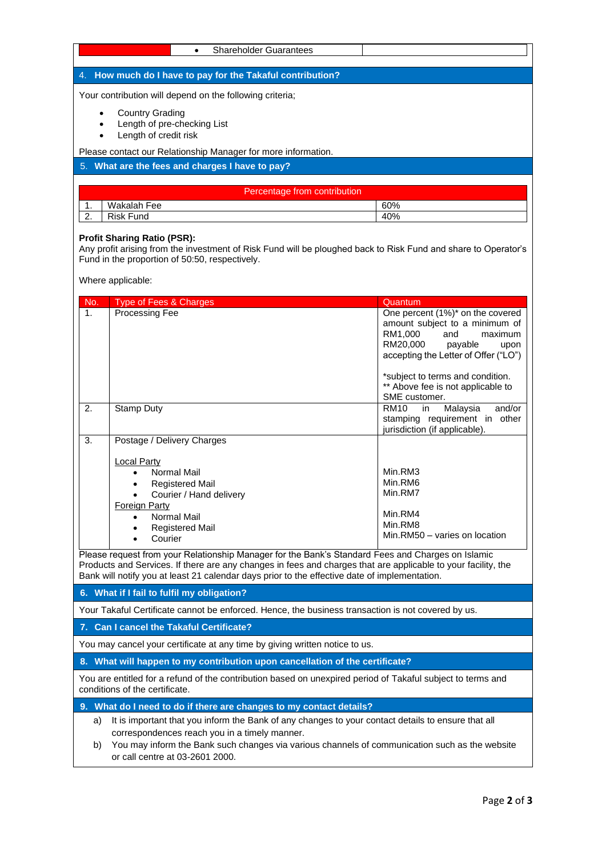| <b>Shareholder Guarantees</b><br>$\bullet$                                                                                                  |                                                                                                    |
|---------------------------------------------------------------------------------------------------------------------------------------------|----------------------------------------------------------------------------------------------------|
| 4. How much do I have to pay for the Takaful contribution?                                                                                  |                                                                                                    |
| Your contribution will depend on the following criteria;                                                                                    |                                                                                                    |
| <b>Country Grading</b>                                                                                                                      |                                                                                                    |
| Length of pre-checking List                                                                                                                 |                                                                                                    |
| Length of credit risk                                                                                                                       |                                                                                                    |
| Please contact our Relationship Manager for more information.<br>5. What are the fees and charges I have to pay?                            |                                                                                                    |
|                                                                                                                                             |                                                                                                    |
| Percentage from contribution                                                                                                                |                                                                                                    |
| Wakalah Fee<br>1.                                                                                                                           | 60%                                                                                                |
| <b>Risk Fund</b><br>2.                                                                                                                      | 40%                                                                                                |
| Where applicable:                                                                                                                           |                                                                                                    |
| No.<br>Type of Fees & Charges<br>Processing Fee<br>$\mathbf{1}$ .                                                                           | Quantum<br>One percent (1%)* on the covered                                                        |
|                                                                                                                                             | amount subject to a minimum of                                                                     |
|                                                                                                                                             |                                                                                                    |
|                                                                                                                                             | RM1,000<br>and                                                                                     |
|                                                                                                                                             | RM20,000<br>payable                                                                                |
|                                                                                                                                             |                                                                                                    |
|                                                                                                                                             | *subject to terms and condition.                                                                   |
|                                                                                                                                             | ** Above fee is not applicable to                                                                  |
| 2.<br>Stamp Duty                                                                                                                            | SME customer.<br><b>RM10</b><br>Malaysia<br>in.                                                    |
|                                                                                                                                             |                                                                                                    |
| 3.                                                                                                                                          | jurisdiction (if applicable).                                                                      |
| Postage / Delivery Charges                                                                                                                  |                                                                                                    |
| Local Party                                                                                                                                 |                                                                                                    |
| Normal Mail                                                                                                                                 | Min.RM3<br>Min.RM6                                                                                 |
| <b>Registered Mail</b><br>Courier / Hand delivery                                                                                           | Min.RM7                                                                                            |
| Foreign Party                                                                                                                               |                                                                                                    |
| Normal Mail                                                                                                                                 | Min.RM4<br>Min.RM8                                                                                 |
| <b>Registered Mail</b><br>Courier                                                                                                           | Min.RM50 - varies on location                                                                      |
| Please request from your Relationship Manager for the Bank's Standard Fees and Charges on Islamic                                           | maximum<br>upon<br>accepting the Letter of Offer ("LO")<br>and/or<br>stamping requirement in other |
| Products and Services. If there are any changes in fees and charges that are applicable to your facility, the                               |                                                                                                    |
| Bank will notify you at least 21 calendar days prior to the effective date of implementation.<br>6. What if I fail to fulfil my obligation? |                                                                                                    |

**7. Can I cancel the Takaful Certificate?**

You may cancel your certificate at any time by giving written notice to us.

**8. What will happen to my contribution upon cancellation of the certificate?**

You are entitled for a refund of the contribution based on unexpired period of Takaful subject to terms and conditions of the certificate.

**9. What do I need to do if there are changes to my contact details?**

a) It is important that you inform the Bank of any changes to your contact details to ensure that all correspondences reach you in a timely manner.

b) You may inform the Bank such changes via various channels of communication such as the website or call centre at 03-2601 2000.